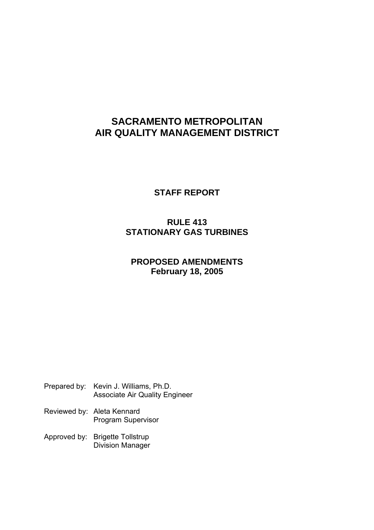# **SACRAMENTO METROPOLITAN AIR QUALITY MANAGEMENT DISTRICT**

**STAFF REPORT**

# **RULE 413 STATIONARY GAS TURBINES**

# **PROPOSED AMENDMENTS February 18, 2005**

- Prepared by: Kevin J. Williams, Ph.D. Associate Air Quality Engineer
- Reviewed by: Aleta Kennard Program Supervisor
- Approved by: Brigette Tollstrup Division Manager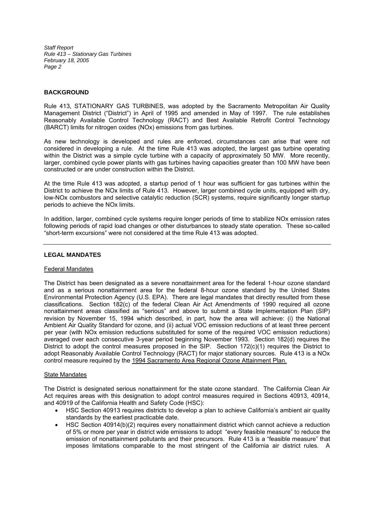# **BACKGROUND**

Rule 413, STATIONARY GAS TURBINES, was adopted by the Sacramento Metropolitan Air Quality Management District ("District") in April of 1995 and amended in May of 1997. The rule establishes Reasonably Available Control Technology (RACT) and Best Available Retrofit Control Technology (BARCT) limits for nitrogen oxides (NOx) emissions from gas turbines.

As new technology is developed and rules are enforced, circumstances can arise that were not considered in developing a rule. At the time Rule 413 was adopted, the largest gas turbine operating within the District was a simple cycle turbine with a capacity of approximately 50 MW. More recently, larger, combined cycle power plants with gas turbines having capacities greater than 100 MW have been constructed or are under construction within the District.

At the time Rule 413 was adopted, a startup period of 1 hour was sufficient for gas turbines within the District to achieve the NOx limits of Rule 413. However, larger combined cycle units, equipped with dry, low-NOx combustors and selective catalytic reduction (SCR) systems, require significantly longer startup periods to achieve the NOx limits.

In addition, larger, combined cycle systems require longer periods of time to stabilize NOx emission rates following periods of rapid load changes or other disturbances to steady state operation. These so-called "short-term excursions" were not considered at the time Rule 413 was adopted.

# **LEGAL MANDATES**

# Federal Mandates

The District has been designated as a severe nonattainment area for the federal 1-hour ozone standard and as a serious nonattainment area for the federal 8-hour ozone standard by the United States Environmental Protection Agency (U.S. EPA). There are legal mandates that directly resulted from these classifications. Section 182(c) of the federal Clean Air Act Amendments of 1990 required all ozone nonattainment areas classified as "serious" and above to submit a State Implementation Plan (SIP) revision by November 15, 1994 which described, in part, how the area will achieve: (i) the National Ambient Air Quality Standard for ozone, and (ii) actual VOC emission reductions of at least three percent per year (with NOx emission reductions substituted for some of the required VOC emission reductions) averaged over each consecutive 3-year period beginning November 1993. Section 182(d) requires the District to adopt the control measures proposed in the SIP. Section 172(c)(1) requires the District to adopt Reasonably Available Control Technology (RACT) for major stationary sources. Rule 413 is a NOx control measure required by the 1994 Sacramento Area Regional Ozone Attainment Plan.

# State Mandates

The District is designated serious nonattainment for the state ozone standard. The California Clean Air Act requires areas with this designation to adopt control measures required in Sections 40913, 40914, and 40919 of the California Health and Safety Code (HSC):

- HSC Section 40913 requires districts to develop a plan to achieve California's ambient air quality standards by the earliest practicable date.
- HSC Section 40914(b)(2) requires every nonattainment district which cannot achieve a reduction of 5% or more per year in district wide emissions to adopt "every feasible measure" to reduce the emission of nonattainment pollutants and their precursors. Rule 413 is a "feasible measure" that imposes limitations comparable to the most stringent of the California air district rules. A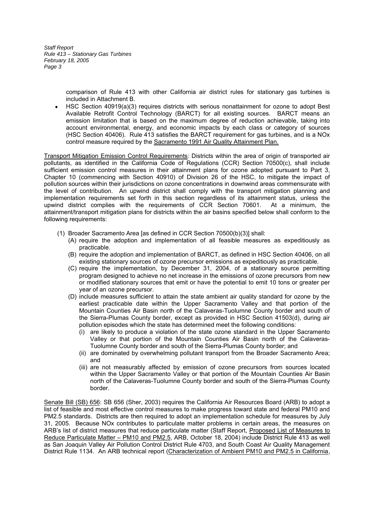> comparison of Rule 413 with other California air district rules for stationary gas turbines is included in Attachment B.

HSC Section 40919(a)(3) requires districts with serious nonattainment for ozone to adopt Best Available Retrofit Control Technology (BARCT) for all existing sources. BARCT means an emission limitation that is based on the maximum degree of reduction achievable, taking into account environmental, energy, and economic impacts by each class or category of sources (HSC Section 40406). Rule 413 satisfies the BARCT requirement for gas turbines, and is a NOx control measure required by the Sacramento 1991 Air Quality Attainment Plan.

Transport Mitigation Emission Control Requirements: Districts within the area of origin of transported air pollutants, as identified in the California Code of Regulations (CCR) Section 70500(c), shall include sufficient emission control measures in their attainment plans for ozone adopted pursuant to Part 3, Chapter 10 (commencing with Section 40910) of Division 26 of the HSC, to mitigate the impact of pollution sources within their jurisdictions on ozone concentrations in downwind areas commensurate with the level of contribution. An upwind district shall comply with the transport mitigation planning and implementation requirements set forth in this section regardless of its attainment status, unless the upwind district complies with the requirements of CCR Section 70601. At a minimum, the attainment/transport mitigation plans for districts within the air basins specified below shall conform to the following requirements:

- (1) Broader Sacramento Area [as defined in CCR Section 70500(b)(3)] shall:
	- (A) require the adoption and implementation of all feasible measures as expeditiously as practicable.
	- (B) require the adoption and implementation of BARCT, as defined in HSC Section 40406, on all existing stationary sources of ozone precursor emissions as expeditiously as practicable.
	- (C) require the implementation, by December 31, 2004, of a stationary source permitting program designed to achieve no net increase in the emissions of ozone precursors from new or modified stationary sources that emit or have the potential to emit 10 tons or greater per year of an ozone precursor.
	- (D) include measures sufficient to attain the state ambient air quality standard for ozone by the earliest practicable date within the Upper Sacramento Valley and that portion of the Mountain Counties Air Basin north of the Calaveras-Tuolumne County border and south of the Sierra-Plumas County border, except as provided in HSC Section 41503(d), during air pollution episodes which the state has determined meet the following conditions:
		- (i) are likely to produce a violation of the state ozone standard in the Upper Sacramento Valley or that portion of the Mountain Counties Air Basin north of the Calaveras-Tuolumne County border and south of the Sierra-Plumas County border; and
		- (ii) are dominated by overwhelming pollutant transport from the Broader Sacramento Area; and
		- (iii) are not measurably affected by emission of ozone precursors from sources located within the Upper Sacramento Valley or that portion of the Mountain Counties Air Basin north of the Calaveras-Tuolumne County border and south of the Sierra-Plumas County border.

Senate Bill (SB) 656: SB 656 (Sher, 2003) requires the California Air Resources Board (ARB) to adopt a list of feasible and most effective control measures to make progress toward state and federal PM10 and PM2.5 standards. Districts are then required to adopt an implementation schedule for measures by July 31, 2005. Because NOx contributes to particulate matter problems in certain areas, the measures on ARB's list of district measures that reduce particulate matter (Staff Report, Proposed List of Measures to Reduce Particulate Matter - PM10 and PM2.5, ARB, October 18, 2004) include District Rule 413 as well as San Joaquin Valley Air Pollution Control District Rule 4703, and South Coast Air Quality Management District Rule 1134. An ARB technical report (Characterization of Ambient PM10 and PM2.5 in California,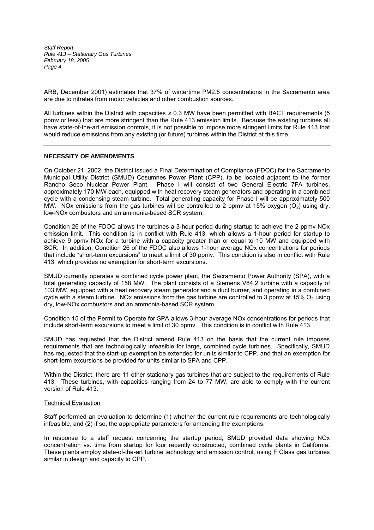ARB, December 2001) estimates that 37% of wintertime PM2.5 concentrations in the Sacramento area are due to nitrates from motor vehicles and other combustion sources.

All turbines within the District with capacities  $\geq 0.3$  MW have been permitted with BACT requirements (5 ppmv or less) that are more stringent than the Rule 413 emission limits. Because the existing turbines all have state-of-the-art emission controls, it is not possible to impose more stringent limits for Rule 413 that would reduce emissions from any existing (or future) turbines within the District at this time.

# **NECESSITY OF AMENDMENTS**

On October 21, 2002, the District issued a Final Determination of Compliance (FDOC) for the Sacramento Municipal Utility District (SMUD) Cosumnes Power Plant (CPP), to be located adjacent to the former Rancho Seco Nuclear Power Plant. Phase I will consist of two General Electric 7FA turbines, approximately 170 MW each, equipped with heat recovery steam generators and operating in a combined cycle with a condensing steam turbine. Total generating capacity for Phase I will be approximately 500 MW. NOx emissions from the gas turbines will be controlled to 2 ppmv at 15% oxygen  $(O<sub>2</sub>)$  using dry, low-NOx combustors and an ammonia-based SCR system.

Condition 26 of the FDOC allows the turbines a 3-hour period during startup to achieve the 2 ppmv NOx emission limit. This condition is in conflict with Rule 413, which allows a 1-hour period for startup to achieve 9 ppmv NOx for a turbine with a capacity greater than or equal to 10 MW and equipped with SCR. In addition, Condition 26 of the FDOC also allows 1-hour average NOx concentrations for periods that include "short-term excursions" to meet a limit of 30 ppmv. This condition is also in conflict with Rule 413, which provides no exemption for short-term excursions.

SMUD currently operates a combined cycle power plant, the Sacramento Power Authority (SPA), with a total generating capacity of 158 MW. The plant consists of a Siemens V84.2 turbine with a capacity of 103 MW, equipped with a heat recovery steam generator and a duct burner, and operating in a combined cycle with a steam turbine. NOx emissions from the gas turbine are controlled to 3 ppmy at 15% O<sub>2</sub> using dry, low-NOx combustors and an ammonia-based SCR system.

Condition 15 of the Permit to Operate for SPA allows 3-hour average NOx concentrations for periods that include short-term excursions to meet a limit of 30 ppmv. This condition is in conflict with Rule 413.

SMUD has requested that the District amend Rule 413 on the basis that the current rule imposes requirements that are technologically infeasible for large, combined cycle turbines. Specifically, SMUD has requested that the start-up exemption be extended for units similar to CPP, and that an exemption for short-term excursions be provided for units similar to SPA and CPP.

Within the District, there are 11 other stationary gas turbines that are subject to the requirements of Rule 413. These turbines, with capacities ranging from 24 to 77 MW, are able to comply with the current version of Rule 413.

#### Technical Evaluation

Staff performed an evaluation to determine (1) whether the current rule requirements are technologically infeasible, and (2) if so, the appropriate parameters for amending the exemptions.

In response to a staff request concerning the startup period, SMUD provided data showing NOx concentration vs. time from startup for four recently constructed, combined cycle plants in California. These plants employ state-of-the-art turbine technology and emission control, using F Class gas turbines similar in design and capacity to CPP.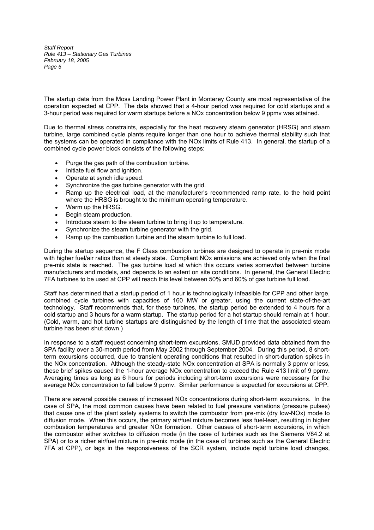The startup data from the Moss Landing Power Plant in Monterey County are most representative of the operation expected at CPP. The data showed that a 4-hour period was required for cold startups and a 3-hour period was required for warm startups before a NOx concentration below 9 ppmv was attained.

Due to thermal stress constraints, especially for the heat recovery steam generator (HRSG) and steam turbine, large combined cycle plants require longer than one hour to achieve thermal stability such that the systems can be operated in compliance with the NOx limits of Rule 413. In general, the startup of a combined cycle power block consists of the following steps:

- Purge the gas path of the combustion turbine.
- Initiate fuel flow and ignition.  $\bullet$
- Operate at synch idle speed.  $\bullet$
- Synchronize the gas turbine generator with the grid.
- Ramp up the electrical load, at the manufacturer's recommended ramp rate, to the hold point where the HRSG is brought to the minimum operating temperature.
- Warm up the HRSG.  $\bullet$
- Begin steam production.  $\bullet$
- Introduce steam to the steam turbine to bring it up to temperature.
- Synchronize the steam turbine generator with the grid.
- Ramp up the combustion turbine and the steam turbine to full load.

During the startup sequence, the F Class combustion turbines are designed to operate in pre-mix mode with higher fuel/air ratios than at steady state. Compliant NOx emissions are achieved only when the final pre-mix state is reached. The gas turbine load at which this occurs varies somewhat between turbine manufacturers and models, and depends to an extent on site conditions. In general, the General Electric 7FA turbines to be used at CPP will reach this level between 50% and 60% of gas turbine full load.

Staff has determined that a startup period of 1 hour is technologically infeasible for CPP and other large, combined cycle turbines with capacities of 160 MW or greater, using the current state-of-the-art technology. Staff recommends that, for these turbines, the startup period be extended to 4 hours for a cold startup and 3 hours for a warm startup. The startup period for a hot startup should remain at 1 hour. (Cold, warm, and hot turbine startups are distinguished by the length of time that the associated steam turbine has been shut down.)

In response to a staff request concerning short-term excursions, SMUD provided data obtained from the SPA facility over a 30-month period from May 2002 through September 2004. During this period, 8 shortterm excursions occurred, due to transient operating conditions that resulted in short-duration spikes in the NOx concentration. Although the steady-state NOx concentration at SPA is normally 3 ppmv or less, these brief spikes caused the 1-hour average NOx concentration to exceed the Rule 413 limit of 9 ppmv. Averaging times as long as 6 hours for periods including short-term excursions were necessary for the average NOx concentration to fall below 9 ppmv. Similar performance is expected for excursions at CPP.

There are several possible causes of increased NOx concentrations during short-term excursions. In the case of SPA, the most common causes have been related to fuel pressure variations (pressure pulses) that cause one of the plant safety systems to switch the combustor from pre-mix (dry low-NOx) mode to diffusion mode. When this occurs, the primary air/fuel mixture becomes less fuel-lean, resulting in higher combustion temperatures and greater NOx formation. Other causes of short-term excursions, in which the combustor either switches to diffusion mode (in the case of turbines such as the Siemens V84.2 at SPA) or to a richer air/fuel mixture in pre-mix mode (in the case of turbines such as the General Electric 7FA at CPP), or lags in the responsiveness of the SCR system, include rapid turbine load changes,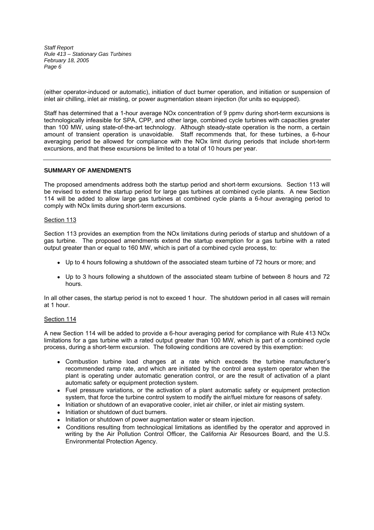(either operator-induced or automatic), initiation of duct burner operation, and initiation or suspension of inlet air chilling, inlet air misting, or power augmentation steam injection (for units so equipped).

Staff has determined that a 1-hour average NOx concentration of 9 ppmv during short-term excursions is technologically infeasible for SPA, CPP, and other large, combined cycle turbines with capacities greater than 100 MW, using state-of-the-art technology. Although steady-state operation is the norm, a certain amount of transient operation is unavoidable. Staff recommends that, for these turbines, a 6-hour averaging period be allowed for compliance with the NOx limit during periods that include short-term excursions, and that these excursions be limited to a total of 10 hours per year.

# **SUMMARY OF AMENDMENTS**

The proposed amendments address both the startup period and short-term excursions. Section 113 will be revised to extend the startup period for large gas turbines at combined cycle plants. A new Section 114 will be added to allow large gas turbines at combined cycle plants a 6-hour averaging period to comply with NOx limits during short-term excursions.

#### Section 113

Section 113 provides an exemption from the NOx limitations during periods of startup and shutdown of a gas turbine. The proposed amendments extend the startup exemption for a gas turbine with a rated output greater than or equal to 160 MW, which is part of a combined cycle process, to:

- Up to 4 hours following a shutdown of the associated steam turbine of 72 hours or more; and
- Up to 3 hours following a shutdown of the associated steam turbine of between 8 hours and 72 hours.

In all other cases, the startup period is not to exceed 1 hour. The shutdown period in all cases will remain at 1 hour.

### Section 114

A new Section 114 will be added to provide a 6-hour averaging period for compliance with Rule 413 NOx limitations for a gas turbine with a rated output greater than 100 MW, which is part of a combined cycle process, during a short-term excursion. The following conditions are covered by this exemption:

- Combustion turbine load changes at a rate which exceeds the turbine manufacturer's recommended ramp rate, and which are initiated by the control area system operator when the plant is operating under automatic generation control, or are the result of activation of a plant automatic safety or equipment protection system.
- Fuel pressure variations, or the activation of a plant automatic safety or equipment protection system, that force the turbine control system to modify the air/fuel mixture for reasons of safety.
- Initiation or shutdown of an evaporative cooler, inlet air chiller, or inlet air misting system.
- Initiation or shutdown of duct burners.
- Initiation or shutdown of power augmentation water or steam injection.
- Conditions resulting from technological limitations as identified by the operator and approved in writing by the Air Pollution Control Officer, the California Air Resources Board, and the U.S. Environmental Protection Agency.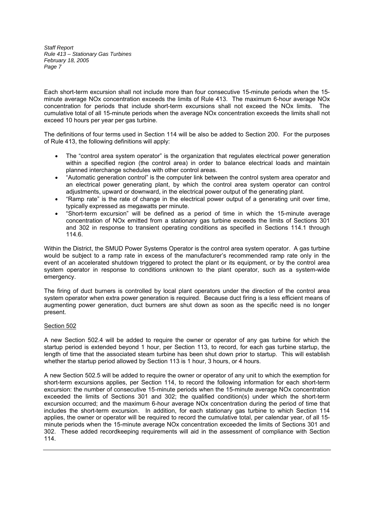Each short-term excursion shall not include more than four consecutive 15-minute periods when the 15 minute average NOx concentration exceeds the limits of Rule 413. The maximum 6-hour average NOx concentration for periods that include short-term excursions shall not exceed the NOx limits. The cumulative total of all 15-minute periods when the average NOx concentration exceeds the limits shall not exceed 10 hours per year per gas turbine.

The definitions of four terms used in Section 114 will be also be added to Section 200. For the purposes of Rule 413, the following definitions will apply:

- The "control area system operator" is the organization that regulates electrical power generation within a specified region (the control area) in order to balance electrical loads and maintain planned interchange schedules with other control areas.
- "Automatic generation control" is the computer link between the control system area operator and an electrical power generating plant, by which the control area system operator can control adjustments, upward or downward, in the electrical power output of the generating plant.
- Ramp rate is the rate of change in the electrical power output of a generating unit over time, typically expressed as megawatts per minute.
- "Short-term excursion" will be defined as a period of time in which the 15-minute average concentration of NOx emitted from a stationary gas turbine exceeds the limits of Sections 301 and 302 in response to transient operating conditions as specified in Sections 114.1 through 114.6.

Within the District, the SMUD Power Systems Operator is the control area system operator. A gas turbine would be subject to a ramp rate in excess of the manufacturer's recommended ramp rate only in the event of an accelerated shutdown triggered to protect the plant or its equipment, or by the control area system operator in response to conditions unknown to the plant operator, such as a system-wide emergency.

The firing of duct burners is controlled by local plant operators under the direction of the control area system operator when extra power generation is required. Because duct firing is a less efficient means of augmenting power generation, duct burners are shut down as soon as the specific need is no longer present.

# Section 502

A new Section 502.4 will be added to require the owner or operator of any gas turbine for which the startup period is extended beyond 1 hour, per Section 113, to record, for each gas turbine startup, the length of time that the associated steam turbine has been shut down prior to startup. This will establish whether the startup period allowed by Section 113 is 1 hour, 3 hours, or 4 hours.

A new Section 502.5 will be added to require the owner or operator of any unit to which the exemption for short-term excursions applies, per Section 114, to record the following information for each short-term excursion: the number of consecutive 15-minute periods when the 15-minute average NOx concentration exceeded the limits of Sections 301 and 302; the qualified condition(s) under which the short-term excursion occurred; and the maximum 6-hour average NOx concentration during the period of time that includes the short-term excursion. In addition, for each stationary gas turbine to which Section 114 applies, the owner or operator will be required to record the cumulative total, per calendar year, of all 15 minute periods when the 15-minute average NOx concentration exceeded the limits of Sections 301 and 302. These added recordkeeping requirements will aid in the assessment of compliance with Section 114.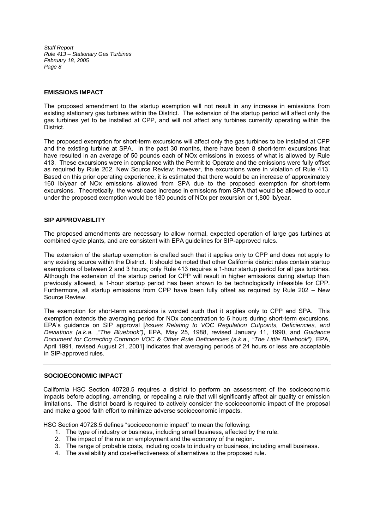### **EMISSIONS IMPACT**

The proposed amendment to the startup exemption will not result in any increase in emissions from existing stationary gas turbines within the District. The extension of the startup period will affect only the gas turbines yet to be installed at CPP, and will not affect any turbines currently operating within the District.

The proposed exemption for short-term excursions will affect only the gas turbines to be installed at CPP and the existing turbine at SPA. In the past 30 months, there have been 8 short-term excursions that have resulted in an average of 50 pounds each of NOx emissions in excess of what is allowed by Rule 413. These excursions were in compliance with the Permit to Operate and the emissions were fully offset as required by Rule 202, New Source Review; however, the excursions were in violation of Rule 413. Based on this prior operating experience, it is estimated that there would be an increase of approximately 160 lb/year of NOx emissions allowed from SPA due to the proposed exemption for short-term excursions. Theoretically, the worst-case increase in emissions from SPA that would be allowed to occur under the proposed exemption would be 180 pounds of NOx per excursion or 1,800 lb/year.

### **SIP APPROVABILITY**

The proposed amendments are necessary to allow normal, expected operation of large gas turbines at combined cycle plants, and are consistent with EPA guidelines for SIP-approved rules.

The extension of the startup exemption is crafted such that it applies only to CPP and does not apply to any existing source within the District. It should be noted that other California district rules contain startup exemptions of between 2 and 3 hours; only Rule 413 requires a 1-hour startup period for all gas turbines. Although the extension of the startup period for CPP will result in higher emissions during startup than previously allowed, a 1-hour startup period has been shown to be technologically infeasible for CPP. Furthermore, all startup emissions from CPP have been fully offset as required by Rule 202 - New Source Review.

The exemption for short-term excursions is worded such that it applies only to CPP and SPA. This exemption extends the averaging period for NOx concentration to 6 hours during short-term excursions. EPA's guidance on SIP approval [*Issues Relating to VOC Regulation Cutpoints, Deficiencies, and Deviations (a.k.a. ,"The Bluebook")*, EPA, May 25, 1988, revised January 11, 1990, and *Guidance Document for Correcting Common VOC & Other Rule Deficiencies (a.k.a., "The Little Bluebook")*, EPA, April 1991, revised August 21, 2001] indicates that averaging periods of 24 hours or less are acceptable in SIP-approved rules.

# **SOCIOECONOMIC IMPACT**

California HSC Section 40728.5 requires a district to perform an assessment of the socioeconomic impacts before adopting, amending, or repealing a rule that will significantly affect air quality or emission limitations. The district board is required to actively consider the socioeconomic impact of the proposal and make a good faith effort to minimize adverse socioeconomic impacts.

HSC Section 40728.5 defines "socioeconomic impact" to mean the following:

- 1. The type of industry or business, including small business, affected by the rule.
- 2. The impact of the rule on employment and the economy of the region.
- 3. The range of probable costs, including costs to industry or business, including small business.
- 4. The availability and cost-effectiveness of alternatives to the proposed rule.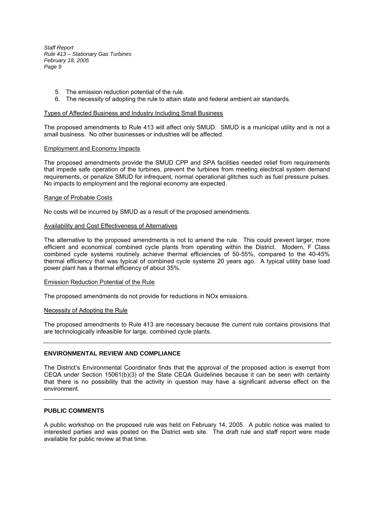- 5. The emission reduction potential of the rule.
- 6. The necessity of adopting the rule to attain state and federal ambient air standards.

#### Types of Affected Business and Industry Including Small Business

The proposed amendments to Rule 413 will affect only SMUD. SMUD is a municipal utility and is not a small business. No other businesses or industries will be affected.

#### Employment and Economy Impacts

The proposed amendments provide the SMUD CPP and SPA facilities needed relief from requirements that impede safe operation of the turbines, prevent the turbines from meeting electrical system demand requirements, or penalize SMUD for infrequent, normal operational glitches such as fuel pressure pulses. No impacts to employment and the regional economy are expected.

#### Range of Probable Costs

No costs will be incurred by SMUD as a result of the proposed amendments.

#### Availability and Cost Effectiveness of Alternatives

The alternative to the proposed amendments is not to amend the rule. This could prevent larger, more efficient and economical combined cycle plants from operating within the District. Modern, F Class combined cycle systems routinely achieve thermal efficiencies of 50-55%, compared to the 40-45% thermal efficiency that was typical of combined cycle systems 20 years ago. A typical utility base load power plant has a thermal efficiency of about 35%.

#### Emission Reduction Potential of the Rule

The proposed amendments do not provide for reductions in NOx emissions.

#### Necessity of Adopting the Rule

The proposed amendments to Rule 413 are necessary because the current rule contains provisions that are technologically infeasible for large, combined cycle plants.

#### **ENVIRONMENTAL REVIEW AND COMPLIANCE**

The District's Environmental Coordinator finds that the approval of the proposed action is exempt from CEQA under Section 15061(b)(3) of the State CEQA Guidelines because it can be seen with certainty that there is no possibility that the activity in question may have a significant adverse effect on the environment.

# **PUBLIC COMMENTS**

A public workshop on the proposed rule was held on February 14, 2005. A public notice was mailed to interested parties and was posted on the District web site. The draft rule and staff report were made available for public review at that time.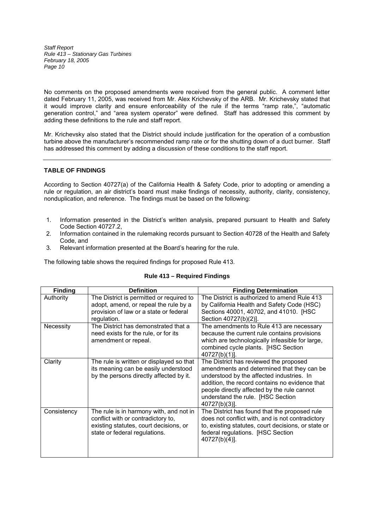No comments on the proposed amendments were received from the general public. A comment letter dated February 11, 2005, was received from Mr. Alex Krichevsky of the ARB. Mr. Krichevsky stated that it would improve clarity and ensure enforceability of the rule if the terms "ramp rate,", "automatic generation control," and "area system operator" were defined. Staff has addressed this comment by adding these definitions to the rule and staff report.

Mr. Krichevsky also stated that the District should include justification for the operation of a combustion turbine above the manufacturer's recommended ramp rate or for the shutting down of a duct burner. Staff has addressed this comment by adding a discussion of these conditions to the staff report.

# **TABLE OF FINDINGS**

According to Section 40727(a) of the California Health & Safety Code, prior to adopting or amending a rule or regulation, an air district's board must make findings of necessity, authority, clarity, consistency, nonduplication, and reference. The findings must be based on the following:

- 1. Information presented in the District's written analysis, prepared pursuant to Health and Safety Code Section 40727.2,
- 2. Information contained in the rulemaking records pursuant to Section 40728 of the Health and Safety Code, and
- 3. Relevant information presented at the Board's hearing for the rule.

The following table shows the required findings for proposed Rule 413.

| <b>Finding</b> | <b>Definition</b>                                                                                                                                        | <b>Finding Determination</b>                                                                                                                                                                                                                                                             |
|----------------|----------------------------------------------------------------------------------------------------------------------------------------------------------|------------------------------------------------------------------------------------------------------------------------------------------------------------------------------------------------------------------------------------------------------------------------------------------|
| Authority      | The District is permitted or required to<br>adopt, amend, or repeal the rule by a<br>provision of law or a state or federal                              | The District is authorized to amend Rule 413<br>by California Health and Safety Code (HSC)<br>Sections 40001, 40702, and 41010. [HSC                                                                                                                                                     |
|                | regulation.                                                                                                                                              | Section 40727(b)(2)].                                                                                                                                                                                                                                                                    |
| Necessity      | The District has demonstrated that a<br>need exists for the rule, or for its<br>amendment or repeal.                                                     | The amendments to Rule 413 are necessary<br>because the current rule contains provisions<br>which are technologically infeasible for large,<br>combined cycle plants. [HSC Section<br>$40727(b)(1)$ ].                                                                                   |
| Clarity        | The rule is written or displayed so that<br>its meaning can be easily understood<br>by the persons directly affected by it.                              | The District has reviewed the proposed<br>amendments and determined that they can be<br>understood by the affected industries. In<br>addition, the record contains no evidence that<br>people directly affected by the rule cannot<br>understand the rule. [HSC Section<br>40727(b)(3)]. |
| Consistency    | The rule is in harmony with, and not in<br>conflict with or contradictory to,<br>existing statutes, court decisions, or<br>state or federal regulations. | The District has found that the proposed rule<br>does not conflict with, and is not contradictory<br>to, existing statutes, court decisions, or state or<br>federal regulations. [HSC Section<br>40727(b)(4)].                                                                           |

# **Rule 413 – Required Findings**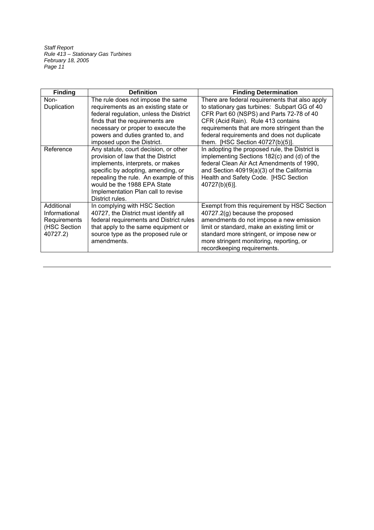| <b>Finding</b>                                                          | <b>Definition</b>                                                                                                                                                                                                                                                                       | <b>Finding Determination</b>                                                                                                                                                                                                                                                                                         |
|-------------------------------------------------------------------------|-----------------------------------------------------------------------------------------------------------------------------------------------------------------------------------------------------------------------------------------------------------------------------------------|----------------------------------------------------------------------------------------------------------------------------------------------------------------------------------------------------------------------------------------------------------------------------------------------------------------------|
| Non-<br>Duplication                                                     | The rule does not impose the same<br>requirements as an existing state or<br>federal regulation, unless the District<br>finds that the requirements are<br>necessary or proper to execute the<br>powers and duties granted to, and<br>imposed upon the District.                        | There are federal requirements that also apply<br>to stationary gas turbines: Subpart GG of 40<br>CFR Part 60 (NSPS) and Parts 72-78 of 40<br>CFR (Acid Rain). Rule 413 contains<br>requirements that are more stringent than the<br>federal requirements and does not duplicate<br>them. [HSC Section 40727(b)(5)]. |
| Reference                                                               | Any statute, court decision, or other<br>provision of law that the District<br>implements, interprets, or makes<br>specific by adopting, amending, or<br>repealing the rule. An example of this<br>would be the 1988 EPA State<br>Implementation Plan call to revise<br>District rules. | In adopting the proposed rule, the District is<br>implementing Sections 182(c) and (d) of the<br>federal Clean Air Act Amendments of 1990,<br>and Section 40919(a)(3) of the California<br>Health and Safety Code. [HSC Section<br>40727(b)(6)].                                                                     |
| Additional<br>Informational<br>Requirements<br>(HSC Section<br>40727.2) | In complying with HSC Section<br>40727, the District must identify all<br>federal requirements and District rules<br>that apply to the same equipment or<br>source type as the proposed rule or<br>amendments.                                                                          | Exempt from this requirement by HSC Section<br>40727.2(g) because the proposed<br>amendments do not impose a new emission<br>limit or standard, make an existing limit or<br>standard more stringent, or impose new or<br>more stringent monitoring, reporting, or<br>recordkeeping requirements.                    |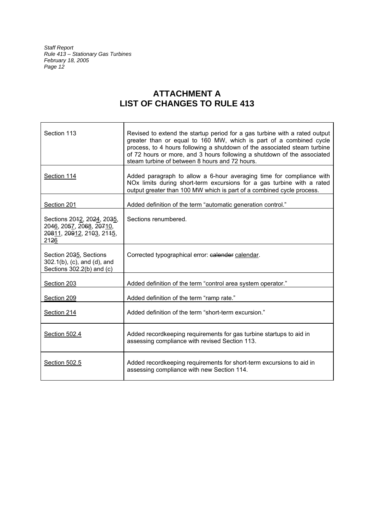# **ATTACHMENT A LIST OF CHANGES TO RULE 413**

| Section 113                                                                                 | Revised to extend the startup period for a gas turbine with a rated output<br>greater than or equal to 160 MW, which is part of a combined cycle<br>process, to 4 hours following a shutdown of the associated steam turbine<br>of 72 hours or more, and 3 hours following a shutdown of the associated<br>steam turbine of between 8 hours and 72 hours. |
|---------------------------------------------------------------------------------------------|-----------------------------------------------------------------------------------------------------------------------------------------------------------------------------------------------------------------------------------------------------------------------------------------------------------------------------------------------------------|
| Section 114                                                                                 | Added paragraph to allow a 6-hour averaging time for compliance with<br>NOx limits during short-term excursions for a gas turbine with a rated<br>output greater than 100 MW which is part of a combined cycle process.                                                                                                                                   |
| Section 201                                                                                 | Added definition of the term "automatic generation control."                                                                                                                                                                                                                                                                                              |
| Sections 2042, 2024, 2035,<br>2046, 2057, 2068, 20710,<br>20811, 20912, 2103, 2145,<br>2126 | Sections renumbered.                                                                                                                                                                                                                                                                                                                                      |
| Section 2035, Sections<br>302.1(b), (c), and (d), and<br>Sections $302.2(b)$ and (c)        | Corrected typographical error: calender calendar.                                                                                                                                                                                                                                                                                                         |
| Section 203                                                                                 | Added definition of the term "control area system operator."                                                                                                                                                                                                                                                                                              |
| Section 209                                                                                 | Added definition of the term "ramp rate."                                                                                                                                                                                                                                                                                                                 |
| Section 214                                                                                 | Added definition of the term "short-term excursion."                                                                                                                                                                                                                                                                                                      |
| Section 502.4                                                                               | Added recordkeeping requirements for gas turbine startups to aid in<br>assessing compliance with revised Section 113.                                                                                                                                                                                                                                     |
| Section 502.5                                                                               | Added recordkeeping requirements for short-term excursions to aid in<br>assessing compliance with new Section 114.                                                                                                                                                                                                                                        |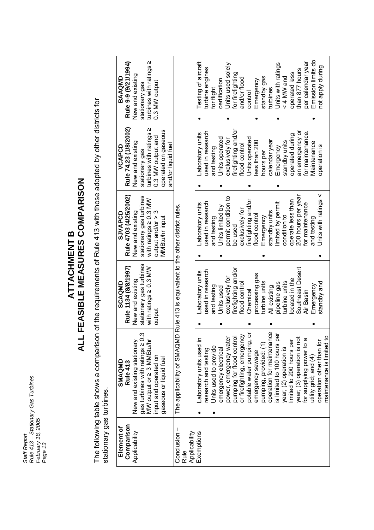*Staff Report Rule 413 – Stationary Gas Turbines February 18, 2005* Staff Report<br>Rule 413 – Stationary Gas Turbines<br>February 18, 2005<br>Page 13

# **ALL FEASIBLE MEASURES COMPARISON ALL FEASIBLE MEASURES COMPARISON ATTACHMENT B**

The following table shows a comparison of the requirements of Rule 413 with those adopted by other districts for<br>stationary gas turbines. The following table shows a comparison of the requirements of Rule 413 with those adopted by other districts for stationary gas turbines.

| Comparison<br>Element of | SMAQMD<br>Rule 413                                                                                    | Rule 1134 (8/8/1997)<br>SCAQMD              | Rule 4703 (4/25/2002)<br>SJVAPCD                  | Rule 74.23 (1/8/2002)<br>VCAPCD                 | Rule 9-9 (9/21/1994)<br>BAAQMD               |
|--------------------------|-------------------------------------------------------------------------------------------------------|---------------------------------------------|---------------------------------------------------|-------------------------------------------------|----------------------------------------------|
| Applicability            | <u>က</u><br>New and existing stationary<br>gas turbines with ratings ≥ 0<br>MW output or ≥ 3 MMBtu/hr | stationary gas turbines<br>New and existing | stationary gas turbines<br>New and existing       | New and existing<br>stationary gas              | New and existing<br>stationary gas           |
|                          | input and operated on                                                                                 | with ratings $\geq 0.3$ MW<br>output        | with ratings $\geq 0.3$ MW<br>output and/or $> 3$ | Ν<br>turbines with ratings<br>0.3 MW output and | ΛΙ<br>turbines with ratings<br>0.3 MW output |
|                          | gaseous or liquid fuel                                                                                |                                             | MMBtu/hr input                                    | operated on gaseous<br>and/or liquid fuel       |                                              |
| Conclusion -<br>Rule     | The applicability of SMAQMD Rule 413 is equivalent to the other district rules                        |                                             |                                                   |                                                 |                                              |
| Applicability            |                                                                                                       |                                             |                                                   |                                                 |                                              |
| Exemptions               | Laboratory units used in                                                                              | Laboratory units                            | Laboratory units                                  | -aboratory units                                | Testing of aircraft                          |
|                          | esearch and testing                                                                                   | used in research                            | used in research                                  | used in research                                | turbine engines                              |
|                          | Units used to provide                                                                                 | and testing                                 | and testing                                       | and testing                                     | for flight                                   |
|                          | emergency electrical                                                                                  | Units used                                  | Units limited by                                  | Units operated                                  | certification                                |
|                          |                                                                                                       | exclusively for                             | permit condition to                               | exclusively for                                 | Units used solely                            |
|                          | power, emergency water<br>pumping for flood control<br>or firefighting, emergency                     | firefighting and/or                         | be used                                           | firefighting and/or                             | for firefighting                             |
|                          |                                                                                                       | flood control                               | exclusively for                                   | flood control                                   | and/or flood                                 |
|                          | ŏ<br>potable water pumping,                                                                           | Chemical                                    | firefighting and/or                               | Units operated                                  | control                                      |
|                          | emergency sewage                                                                                      | processing gas                              | flood control                                     | less than 200                                   | Emergency                                    |
|                          | pumping, provided: (1)                                                                                | turbine units                               | Emergency                                         | nours per                                       | standby gas                                  |
|                          | operation for maintenance<br>is limited to 100 hours per                                              | All existing                                | standby units                                     | calendar year                                   | turbines                                     |
|                          |                                                                                                       | pipeline gas                                | limited by permit                                 | Emergency                                       | Units with ratings                           |
|                          | year; (2) operation is<br>limited to 200 hours per                                                    | turbine units                               | condition to                                      | standby units                                   | < 4 MW and                                   |
|                          |                                                                                                       | located in the                              | operate less than                                 | operated during                                 | operated less                                |
|                          | year; (3) operation is not                                                                            | Southeast Desert                            | 200 hours per year                                | an emergency or                                 | than 877 hours                               |
|                          | for supplying power to a                                                                              | Air Basin                                   | for maintenance                                   | for maintenance                                 | per calendar year                            |
|                          | utility grid; and (4)                                                                                 | Emergency                                   | and testing                                       | Maintenance                                     | Emission limits do                           |
|                          | operation other than for                                                                              | standby and                                 | Units with ratings <                              | operation is                                    | not apply during                             |
|                          | $\Omega$<br>maintenance is limited t                                                                  |                                             |                                                   |                                                 |                                              |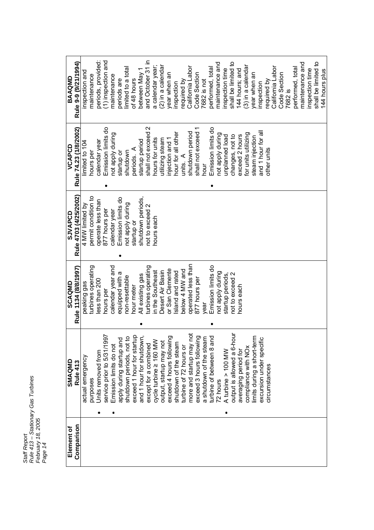*Staff Report Rule 413 – Stationary Gas Turbines February 18, 2005* Staff Report<br>Rule 413 – Stationary Gas Turbines<br>Fage 14<br>Page 14 **r** 

| Element of | SMAQMD                                   | SCAQMD               | <b>SJVAPCD</b>        | VCAPCD                | BAAQMD               |
|------------|------------------------------------------|----------------------|-----------------------|-----------------------|----------------------|
| Comparison | Rule 413                                 | Rule 1134 (8/8/1997) | Rule 4703 (4/25/2002) | Rule 74.23 (1/8/2002) | Rule 9-9 (9/21/1994) |
|            | actual emergency                         | peaking gas          | 4 MW limited by       | limited to 104        | inspection and       |
|            | purposes                                 | turbines operating   | permit condition to   | hours per             | maintenance          |
|            | Jnits removed from<br>٠                  | ess than 200         | operate less than     | calendar year         | periods, provided:   |
|            | service prior to 5/31/1997               | hours per            | 877 hours per         | Emission limits do    | (1) inspection and   |
|            | Emission limits do not<br>٠              | calendar year and    | calendar year         | not apply during      | maintenance          |
|            | 흐<br>apply during startup ar             | equipped with a      | Emission limits do    | startup or            | periods are          |
|            | $\mathbf{a}$<br>shutdown periods, not    | non-resettable       | not apply during      | shutdown              | limited to a total   |
|            | $\frac{a}{b}$<br>exceed 1 hour for start | nour meter           | startup or            | periods. A            | of 48 hours          |
|            | and 1 hour for shutdown,                 | All existing gas     | shutdown periods,     | startup period        | between May 1        |
|            | except for a combined                    | turbines operating   | not to exceed 2       | shall not exceed 2    | and October 31 in    |
|            | cycle turbine ≥ 160 MW                   | n the Southeast      | hours each            | hours for units       | a calendar year;     |
|            | output, startup may not                  | Desert Air Basin     |                       | utilizing steam       | (2) in a calenda     |
|            | ρū<br>exceed 4 hours followin            | or San Clemente      |                       | njection and 1        | year when an         |
|            | shutdown of the steam                    | sland and rated      |                       | hour for all other    | nspection            |
|            | turbine of 72 hours or                   | below 4 MW and       |                       | units. $A$            | required by          |
|            | ă<br>more and startup may                | operated less than   |                       | shutdown period       | California Labor     |
|            | ρū<br>exceed 3 hours followi             | 877 hours per        |                       | shall not exceed 1    | Code Section         |
|            | a shutdown of the steam                  | year                 |                       | hour                  | 7682 is not          |
|            | turbine of between 8 and                 | Emission limits do   |                       | Emission limits do    | performed, total     |
|            | 72 hours                                 | not apply during     |                       | not apply during      | maintenance and      |
|            | A turbine > 100 MW                       | startup periods,     |                       | unplanned load        | inspection time      |
|            | output is allowed a 6-hour               | not to exceed 2      |                       | changes, not to       | shall be limited to  |
|            | averaging period for                     | nours each           |                       | exceed 2 hours        | 144 hours; and       |
|            | compliance with NO <sub>x</sub>          |                      |                       | for units utilizing   | (3) in a calendar    |
|            | imits during a short-term                |                      |                       | steam injection       | year when an         |
|            | excursion under specific                 |                      |                       | and 1 hour for all    | inspection           |
|            | circumstances                            |                      |                       | other units           | required by          |
|            |                                          |                      |                       |                       | California Labor     |
|            |                                          |                      |                       |                       | Code Section         |
|            |                                          |                      |                       |                       | 7682 is              |
|            |                                          |                      |                       |                       | performed, total     |
|            |                                          |                      |                       |                       | maintenance and      |
|            |                                          |                      |                       |                       | inspection time      |
|            |                                          |                      |                       |                       | shall be limited to  |
|            |                                          |                      |                       |                       | 144 hours plus       |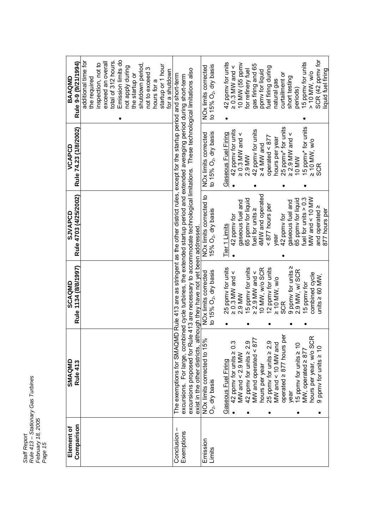| Rule 413 - Stationary Gas Turbines |                              |
|------------------------------------|------------------------------|
| Staff Report                       | February 18, 2005<br>Page 15 |

total of 312 hours.<br>Emission limits do<br>not apply during SCR (42 ppmv for additional time for additional time for exceed an overall periods)<br>15 ppmv for units **Rule 9-9 (9/21/1994)** exceed an overall 42 ppmy for units **BAAQMD**<br>Rule 9-9 (9/21/1994) the required<br>inspection, not to 42 ppmv for units 0.3 MW and < 10 MW (55 ppmv gas firing and 65 15 ppmv for units inspection, not to the startup or<br>shutdown period, shutdown period, hours for a<br>startup or 1 hour NOx limits corrected<br>to 15% O<sub>2</sub>, dry basis startup or 1 hour gas firing and 65 to 15%  $O_2$ , dry basis ppmv for liquid<br>fuel firing during not to exceed 3 NOx limits corrected not apply during fuel firing during not to exceed 3 excursions proposed for Rule 413 are necessary to accommodate technological limitations. These technological limitations also iquid fuel firing for a shutdown excursions proposed for Rule 413 are necessary to accommodate technological limitations. These technological limitations also for refinery fuel liquid fuel firingfor a shutdown The exemptions for SMAQMD Rule 413 are as stringent as the other district rules, except for the startup period and short-term natural gas curtailment or > 10 MW, w/o excursions. For large, combined cycle turbines, the extended startup period and extended averaging period during short-term Condusion – The exemptions for SMAQMD Rule 413 are as stringent as the other district rules, except for the startup period and short-term<br>Exemptions excursions. For large, combined cycle turbines, the extended startup short testing 10 MW<br>15 ppmv\* for units 25 ppmy\* for units **VCAPCD<br>Rule 74.23 (1/8/2002) Rule 74.23 (1/8/2002)** 25 ppmv\* for units 15 ppmv\* for units 42 ppmy for units 2.9 MW<br>42 ppmv for units NOx limits corrected<br>to 15% O<sub>2</sub>, dry basis 42 ppmv for units 42 ppmv for units Gaseous Fuel Firing to 15%  $O_2$ , dry basis  $\geq$  0.3 MW and  $\leq$  $\geq$  2.9 MW and  $\leq$ NOx limits corrected Gaseous Fuel Firing operated  $< 877$  $operated < 877$ hours per year  $\geq 10$  MW, w/o hours per year  $\geq 4$  MW and SCR **SJVAPCD<br>Rule 4703 (4/25/2002)** NO<sub>x</sub> limits corrected to fuel for units ≥<br>4MW and operated 4MW and operated **Rule 4703 (4/25/2002)** NOx limits corrected to 65 ppmy for liquid fuel for units  $> 0.3$ MW and < 10 MW 65 ppmy for liquid fuel for units > 0.3 42 ppmv for<br>gaseous fuel and 65 ppmv for liquid 65 ppmv for liquid 42 ppmv for<br>gaseous fuel and gaseous fuel and gaseous fuel and <877 hours per 877 hours per and operated  $\geq$ 15%  $O_2$ , dry basis 877 hours per Tier 1 Limits exist in the other districts, although they have not yet been addressed. exist in the other districts, although they have not yet been addressed. year **SCAQMD<br>Rule 1134 (8/8/1997)** 9 ppmy for units 2 **Rule 1134 (8/8/1997)** 25 ppmy for units NOx limits corrected<br>to 15% O<sub>2</sub>, dry basis 2.9 MW<br>15 ppmv for units  $\geq$  2.9 MW and  $\leq$  10 MW, w/o SCR 12 ppmy for units 25 ppmv for units 15 ppmv for units 10 MW, w/o SCR 12 ppmv for units 2.9 MW, w/ SCR  $\geq$  0.3 MW and  $\leq$ 2.9 MW, w/ SCR to 15%  $\mathrm{O}_2$ , dry basis NOx limits corrected ppmv for units 15 ppmv for combined cycle units  $\geq 60$  MW. units  $\geq 60$  MW,  $\geq 10$  MW, w/o SCR operated  $\geq$  877 hours per operated  $\geq 877$  hours per hours per year, w/o SCR hours per year, w/o SCR NOx limits corrected to 15%<br>O<sub>2</sub>, dry basis MW and operated  $< 877$ MW and operated < 877 NOx limits corrected to 15% 42 ppmy for units  $\geq$  0.3 MW and < 2.9 MW<br>42 ppmv for units  $\geq$  2.9 25 ppmv for units  $\geq$  2.9 42 ppmv for units  $\geq 0.3$ 42 ppmv for units  $\geq 2.9$ 25 ppmv for units  $\geq 2.9$ MW and < 10 MW and MW and < 10 MW and year<br>15 ppm∨ for units ≥ 10 15 ppmv for units ≥ 10<br>…… 9 ppmv for units  $\geq 10$  $9$  ppmv for units  $\geq 10$ MW, operated  $\geq 877$ MW, operated  $\geq 877$ Gaseous Fuel Firing **SMAQMD Rule 413** Gaseous Fuel Firing hours per year hours per year  $\ddot{\phantom{a}}$  $\bullet$ **Comparison Element of** Conclusion-Exemptions Emission Limits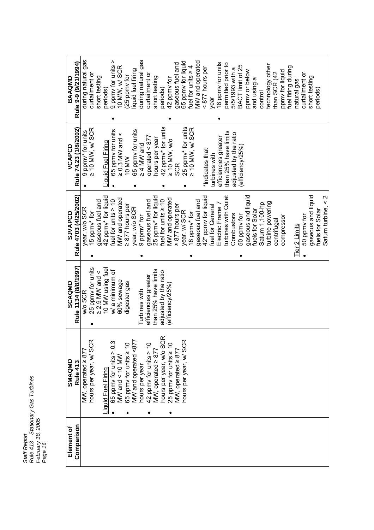| Element of | SMAQMD                                  | SCAQMD                   | SJVAPCD                                              | VCAPCD                               | BAAQMD                  |
|------------|-----------------------------------------|--------------------------|------------------------------------------------------|--------------------------------------|-------------------------|
| Comparison | Rule 413                                | Rule 1134 (8/8/1997)     | Rule 4703 (4/25/2002)                                | Rule 74.23 (1/8/2002)                | Rule 9-9 (9/21/1994)    |
|            | MW, operated $\geq 877$                 | w/o SCR                  | year, w/o SCR                                        |                                      | gas<br>during natural   |
|            | hours per year, w/ SCF                  | 25 ppmy for units        | 15 ppmv* for                                         | 9 ppmv* for units<br>≥ 10 MW, w/ SCR | curtailment or          |
|            |                                         | $\geq$ 2.9 MW and $\leq$ | gaseous fuel and                                     |                                      | short testing           |
|            | Liquid Fuel Firing                      | 10 MW using fuel         | 42 ppmy* for liquid                                  | Liquid Fuel Firing                   | periods)                |
|            | $0.\overline{3}$<br>65 ppmy for units 2 | w/a minimum of           | fuel for units $\geq 10$                             | 65 ppmy for units                    | 9 ppmy for units >      |
|            | MW and < 10 MW                          | 60% sewage               | MW and operated                                      | $\geq$ 0.3 MW and $\leq$             | 10 MW, w/ SCR           |
|            | 65 ppmv for units $\geq 10$             | digester gas             | $\geq 877$ hours per                                 | 10 MW                                | (25 ppmv for            |
|            | MW and operated <877                    |                          | year, w/o SCR                                        | 65 ppmy for units                    | liquid fuel firing      |
|            | hours per year                          | Turbines with            | 9 ppmv* for                                          | $\geq 4$ MW and                      | during natural gas      |
|            | 42 ppmv for units ≥ 10                  | efficiencies greater     | gaseous fuel and                                     | operated $\leq 877$                  | curtailment or          |
|            | $MW$ , operated $\geq 877$              | than 25% have limits     | 25 ppmy* for liquid                                  | hours per year                       | short testing           |
|            | hours per year, w/o SCR                 | adjusted by the ratio    | fuel for units $\geq 10$                             | 42 ppmv* for units                   | periods)                |
|            | 25 ppmv for units $\geq 10$             | (efficiency/25%)         | MW and operated                                      | $\geq$ 10 MW, w/o                    | 42 ppmv for             |
|            | MW, operated $\geq 877$                 |                          | $\geq 877$ hours per                                 | <b>SCR</b>                           | gaseous fuel and        |
|            | hours per year, w/ SCR                  |                          | year, w/ SCR                                         | 25 ppmy* for units                   | 65 ppmy for liquid      |
|            |                                         |                          | 8 ppmv* for                                          | ≥ 10 MW, w/ SCR                      | fuel for units $\geq 4$ |
|            |                                         |                          | gaseous fuel and                                     |                                      | MW and operated         |
|            |                                         |                          | 42* ppmy for liquid                                  | *Indicates that                      | < 877 hours per         |
|            |                                         |                          | fuel for General                                     | turbines with                        | vear                    |
|            |                                         |                          | Electric Frame 7                                     | efficiencies greater                 | 18 ppmy for units       |
|            |                                         |                          | turbines with Quiet                                  | than 25% have limits                 | permitted prior to      |
|            |                                         |                          | Combustors                                           | adjusted by the ratio                | 5/5/1993 with a         |
|            |                                         |                          | 50 ppmy for                                          | efficiency/25%)                      | BACT limit of 25        |
|            |                                         |                          | gaseous and liquid                                   |                                      | ppmy or below           |
|            |                                         |                          | fuels for Solar                                      |                                      | and using a             |
|            |                                         |                          | Satum 1,100-hp                                       |                                      | control                 |
|            |                                         |                          | turbine powering                                     |                                      | technology other        |
|            |                                         |                          | centrifugal                                          |                                      | than SCR (42            |
|            |                                         |                          | compressor                                           |                                      | ppmy for liquid         |
|            |                                         |                          |                                                      |                                      | fuel firing during      |
|            |                                         |                          | Tier 2 Limits                                        |                                      | natural gas             |
|            |                                         |                          | 50 ppmy for                                          |                                      | curtailment or          |
|            |                                         |                          | gaseous and liquid                                   |                                      | short testing           |
|            |                                         |                          | fuels for Solar                                      |                                      | periods)                |
|            |                                         |                          | $\mathbf{\Omega}$<br>$\mathsf{v}$<br>Saturn turbine, |                                      |                         |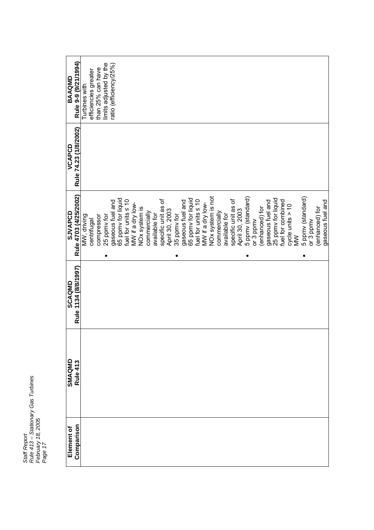| <b>QWOVVB</b>  | Rule 9-9 (9/21/1994)  | Turbines with | efficiencies greater | than 25% can have | limits adjusted by the | ratio (efficiency/25%) |                    |                          |                  |               |              |               |                     |                |             |                  |                    |                          |                  |                               |              |               |                     |                |                   |           |                |                  |                    |                   |                     |        |                        |           |                |                  |
|----------------|-----------------------|---------------|----------------------|-------------------|------------------------|------------------------|--------------------|--------------------------|------------------|---------------|--------------|---------------|---------------------|----------------|-------------|------------------|--------------------|--------------------------|------------------|-------------------------------|--------------|---------------|---------------------|----------------|-------------------|-----------|----------------|------------------|--------------------|-------------------|---------------------|--------|------------------------|-----------|----------------|------------------|
| VCAPCD         | Rule 74.23 (1/8/2002) |               |                      |                   |                        |                        |                    |                          |                  |               |              |               |                     |                |             |                  |                    |                          |                  |                               |              |               |                     |                |                   |           |                |                  |                    |                   |                     |        |                        |           |                |                  |
| <b>SJVAPCD</b> | Rule 4703 (4/25/2002) | MW, driving   | centrifugal          | compressor        | 25 ppmv for            | gaseous fuel and       | 65 ppmy for liquid | fuel for units $\leq 10$ | MW if a dry low- | NOx system is | commercially | available for | specific unit as of | April 30, 2003 | 35 ppmy for | gaseous fuel and | 65 ppmy for liquid | fuel for units $\leq 10$ | MW if a dry low- | NO <sub>x</sub> system is not | commercially | available for | specific unit as of | April 30, 2003 | 5 ppmv (standard) | or 3 ppmv | (enhanced) for | gaseous fuel and | 25 ppmy for liquid | fuel for combined | $cyc$ le units > 10 | $\geq$ | 5 ppmv (standard)<br>٠ | or 3 ppmv | (enhanced) for | gaseous fuel and |
| <b>SCAQMD</b>  | Rule 1134 (8/8/1997)  |               |                      |                   |                        |                        |                    |                          |                  |               |              |               |                     |                |             |                  |                    |                          |                  |                               |              |               |                     |                |                   |           |                |                  |                    |                   |                     |        |                        |           |                |                  |
| <b>SMAQMD</b>  | Rule 413              |               |                      |                   |                        |                        |                    |                          |                  |               |              |               |                     |                |             |                  |                    |                          |                  |                               |              |               |                     |                |                   |           |                |                  |                    |                   |                     |        |                        |           |                |                  |
| Element of     | Comparison            |               |                      |                   |                        |                        |                    |                          |                  |               |              |               |                     |                |             |                  |                    |                          |                  |                               |              |               |                     |                |                   |           |                |                  |                    |                   |                     |        |                        |           |                |                  |

*Staff Report*

*Rule 413 – Stationary Gas Turbines*

Staff Report<br>Rule 413 – Stationary Gas Turbines<br>*F*age 17<br>Page 17

*February 18, 2005*

 $\mathbf{r}$ 

┱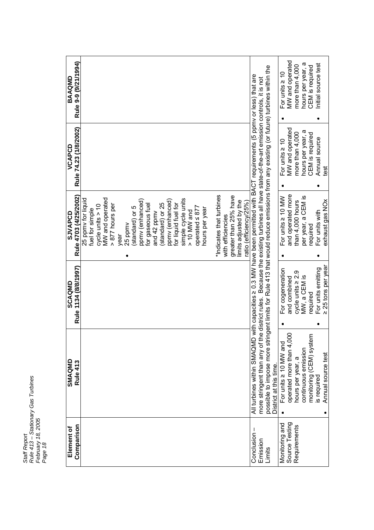| Rule 9-9 (9/21/1994)<br>BAAQMD        |                                                                                                                                                                                                                                                                                                                                                                                                                                                                                |                                                                                                                                                                                                                                                                                                                        | <b>MW</b> and operated<br>more than 4,000<br>For units $\geq 10$            | hours per year, a<br>CEM is required               | nitial source test                                                |
|---------------------------------------|--------------------------------------------------------------------------------------------------------------------------------------------------------------------------------------------------------------------------------------------------------------------------------------------------------------------------------------------------------------------------------------------------------------------------------------------------------------------------------|------------------------------------------------------------------------------------------------------------------------------------------------------------------------------------------------------------------------------------------------------------------------------------------------------------------------|-----------------------------------------------------------------------------|----------------------------------------------------|-------------------------------------------------------------------|
| Rule 74.23 (1/8/2002)<br>VCAPCD       |                                                                                                                                                                                                                                                                                                                                                                                                                                                                                |                                                                                                                                                                                                                                                                                                                        | MW and operated<br>more than 4,000<br>For units $\geq 10$                   | hours per year, a<br>CEM is required               | Annual source<br>igat                                             |
| Rule 4703 (4/25/2002)<br>SJVAPCD      | *Indicates that turbines<br>greater than 25% have<br><b>MW</b> and operated<br>25 ppmy for liquid<br>simple cycle units<br>ppmy (enhanced)<br>ppmy (enhanced)<br>limits adjusted by the<br>ratio (efficiencv/25%)<br>standard) or 25<br>for liquid fuel for<br>> 877 hours per<br>for gaseous fuel<br>cycle units $> 10$<br>operated $\leq 877$<br>standard) or 5<br>hours per year<br>fuel for simple<br>$> 10$ MW and<br>and 42 ppmv<br>with efficiencies<br>25 ppmv<br>year | ingent limits for Rule 413 that would reduce emissions from any existing (or future) turbines within the<br>o with capacities ≥ 0.3 MW have been permitted with BACT requirements (5 ppmv or less) that are<br>he district rules. Because the existing turbines all have state-of-the-art emission controls, it is not | and operated more<br>For units $\geq 10$ MW<br>than 4,000 hours<br>٠        | per year, a CEM is<br>required                     | exhaust gas NOx<br>For units with                                 |
| Rule 1134 (8/8/1997)<br><b>SCAQMD</b> |                                                                                                                                                                                                                                                                                                                                                                                                                                                                                |                                                                                                                                                                                                                                                                                                                        | For cogeneration<br>cycle units $\geq 2.9$<br>and combined                  | MW, a CEM is<br>equired                            | 25 tons per year<br>For units emitting<br>$\overline{\mathsf{A}}$ |
| SMAQMD<br>Rule 413                    |                                                                                                                                                                                                                                                                                                                                                                                                                                                                                | All turbines within SMAQMI<br>more stringent than any of t<br>possible to impose more str<br>District at this time                                                                                                                                                                                                     | operated more than 4,000<br>For units $\geq 10$ MW and<br>hours per year, a | Ξ<br>monitoring (CEM) syste<br>continuous emission | Annual source test<br>is required                                 |
| Comparison<br>Element of              |                                                                                                                                                                                                                                                                                                                                                                                                                                                                                | Conclusion<br>Emission<br>Limits                                                                                                                                                                                                                                                                                       | Source Testing<br>Monitoring and<br>Requirements                            |                                                    |                                                                   |

*Staff Report Rule 413 – Stationary Gas Turbines February 18, 2005* Staff Report<br>Rule 413 – Stationary Gas Turbines<br>Fage 18<br>Page 18